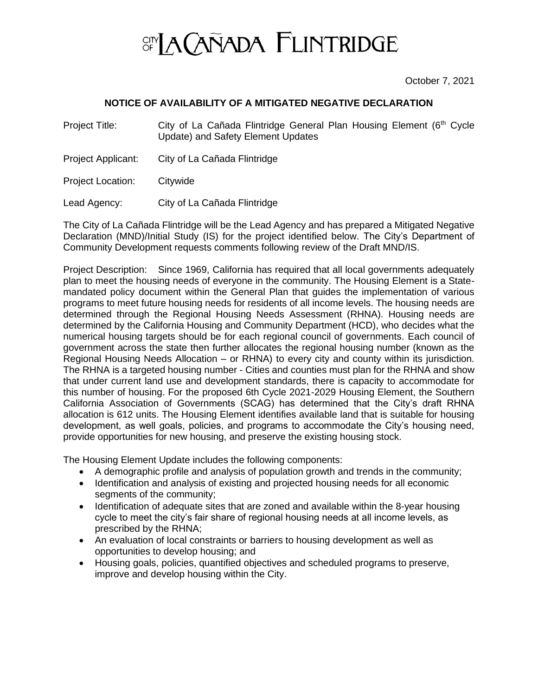

October 7, 2021

## **NOTICE OF AVAILABILITY OF A MITIGATED NEGATIVE DECLARATION**

Project Title: City of La Cañada Flintridge General Plan Housing Element (6<sup>th</sup> Cycle Update) and Safety Element Updates

- Project Applicant: City of La Cañada Flintridge
- Project Location: Citywide

Lead Agency: City of La Cañada Flintridge

The City of La Cañada Flintridge will be the Lead Agency and has prepared a Mitigated Negative Declaration (MND)/Initial Study (IS) for the project identified below. The City's Department of Community Development requests comments following review of the Draft MND/IS.

Project Description: Since 1969, California has required that all local governments adequately plan to meet the housing needs of everyone in the community. The Housing Element is a Statemandated policy document within the General Plan that guides the implementation of various programs to meet future housing needs for residents of all income levels. The housing needs are determined through the Regional Housing Needs Assessment (RHNA). Housing needs are determined by the California Housing and Community Department (HCD), who decides what the numerical housing targets should be for each regional council of governments. Each council of government across the state then further allocates the regional housing number (known as the Regional Housing Needs Allocation – or RHNA) to every city and county within its jurisdiction. The RHNA is a targeted housing number - Cities and counties must plan for the RHNA and show that under current land use and development standards, there is capacity to accommodate for this number of housing. For the proposed 6th Cycle 2021-2029 Housing Element, the Southern California Association of Governments (SCAG) has determined that the City's draft RHNA allocation is 612 units. The Housing Element identifies available land that is suitable for housing development, as well goals, policies, and programs to accommodate the City's housing need, provide opportunities for new housing, and preserve the existing housing stock.

The Housing Element Update includes the following components:

- A demographic profile and analysis of population growth and trends in the community;
- Identification and analysis of existing and projected housing needs for all economic segments of the community:
- Identification of adequate sites that are zoned and available within the 8-year housing cycle to meet the city's fair share of regional housing needs at all income levels, as prescribed by the RHNA;
- An evaluation of local constraints or barriers to housing development as well as opportunities to develop housing; and
- Housing goals, policies, quantified objectives and scheduled programs to preserve, improve and develop housing within the City.